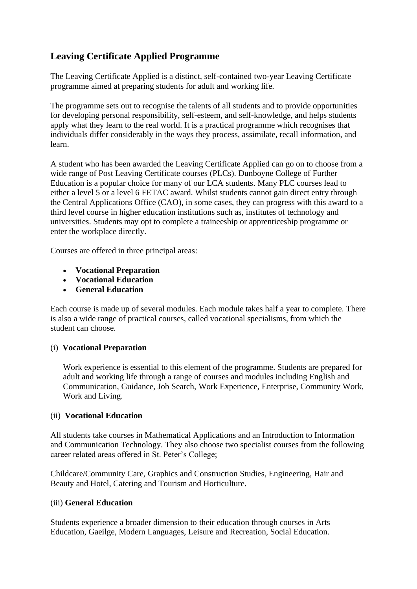# **Leaving Certificate Applied Programme**

The Leaving Certificate Applied is a distinct, self-contained two-year Leaving Certificate programme aimed at preparing students for adult and working life.

The programme sets out to recognise the talents of all students and to provide opportunities for developing personal responsibility, self-esteem, and self-knowledge, and helps students apply what they learn to the real world. It is a practical programme which recognises that individuals differ considerably in the ways they process, assimilate, recall information, and learn.

A student who has been awarded the Leaving Certificate Applied can go on to choose from a wide range of Post Leaving Certificate courses (PLCs). Dunboyne College of Further Education is a popular choice for many of our LCA students. Many PLC courses lead to either a level 5 or a level 6 FETAC award. Whilst students cannot gain direct entry through the Central Applications Office (CAO), in some cases, they can progress with this award to a third level course in higher education institutions such as, institutes of technology and universities. Students may opt to complete a traineeship or apprenticeship programme or enter the workplace directly.

Courses are offered in three principal areas:

- **Vocational Preparation**
- **Vocational Education**
- **General Education**

Each course is made up of several modules. Each module takes half a year to complete. There is also a wide range of practical courses, called vocational specialisms, from which the student can choose.

## (i) **Vocational Preparation**

Work experience is essential to this element of the programme. Students are prepared for adult and working life through a range of courses and modules including English and Communication, Guidance, Job Search, Work Experience, Enterprise, Community Work, Work and Living.

## (ii) **Vocational Education**

All students take courses in Mathematical Applications and an Introduction to Information and Communication Technology. They also choose two specialist courses from the following career related areas offered in St. Peter's College;

Childcare/Community Care, Graphics and Construction Studies, Engineering, Hair and Beauty and Hotel, Catering and Tourism and Horticulture.

## (iii) **General Education**

Students experience a broader dimension to their education through courses in Arts Education, Gaeilge, Modern Languages, Leisure and Recreation, Social Education.